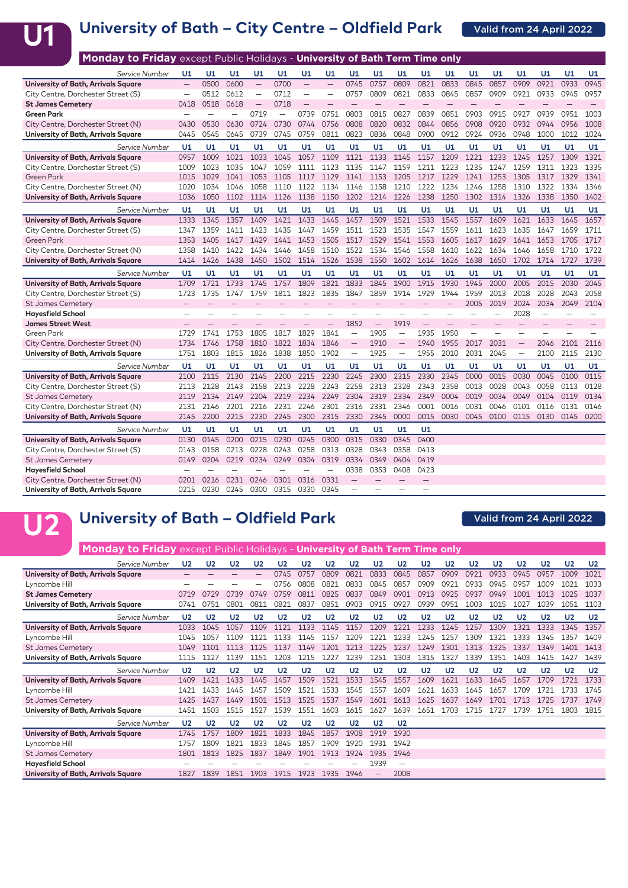

### **University of Bath – City Centre – Oldfield Park**

| Monday to Friday except Public Holidays - University of Bath Term Time only |                          |      |      |                          |      |                          |                          |                          |                          |                          |      |      |          |      |                          |      |      |      |
|-----------------------------------------------------------------------------|--------------------------|------|------|--------------------------|------|--------------------------|--------------------------|--------------------------|--------------------------|--------------------------|------|------|----------|------|--------------------------|------|------|------|
| Service Number                                                              | U1                       | U1   | U1   | U1                       | U1   | U1                       | U1                       | U1                       | U1                       | U1                       | U1   | U1   | U1       | U1   | U1                       | U1   | U1   | U1   |
| University of Bath, Arrivals Square                                         | $\overline{\phantom{0}}$ | 0500 | 0600 | $\overline{\phantom{0}}$ | 0700 | $\equiv$                 |                          | 0745                     | 0757                     | 0809                     | 0821 | 0833 | 0845     | 0857 | 0909                     | 0921 | 0933 | 0945 |
| City Centre, Dorchester Street (S)                                          | $\overline{\phantom{0}}$ | 0512 | 0612 | $\overline{\phantom{0}}$ | 0712 | $\overline{\phantom{0}}$ | $\overline{\phantom{0}}$ | 0757                     | 0809                     | 0821                     | 0833 | 0845 | 0857     | 0909 | 0921                     | 0933 | 0945 | 0957 |
| <b>St James Cemetery</b>                                                    | 0418                     | 0518 | 0618 | $\overline{\phantom{0}}$ | 0718 | $\qquad \qquad -$        |                          | $\overline{\phantom{0}}$ | $\overline{\phantom{0}}$ |                          |      |      |          |      |                          |      |      |      |
| <b>Green Park</b>                                                           |                          |      |      | 0719                     |      | 0739                     | 0751                     | 0803                     | 0815                     | 0827                     | 0839 | 0851 | 0903     | 0915 | 0927                     | 0939 | 0951 | 1003 |
| City Centre, Dorchester Street (N)                                          | 0430                     | 0530 | 0630 | 0724                     | 0730 | 0744                     | 0756                     | 0808                     | 0820                     | 0832                     | 0844 | 0856 | 0908     | 0920 | 0932                     | 0944 | 0956 | 1008 |
| University of Bath, Arrivals Square                                         | 0445                     | 0545 | 0645 | 0739                     | 0745 | 0759                     | 0811                     | 0823                     | 0836                     | 0848                     | 0900 | 0912 | 0924     | 0936 | 0948                     | 1000 | 1012 | 1024 |
| <b>Service Number</b>                                                       | U1                       | U1   | U1   | U1                       | U1   | U1                       | U1                       | U1                       | U1                       | U1                       | U1   | U1   | U1       | U1   | U1                       | U1   | U1   | U1   |
| University of Bath, Arrivals Square                                         | 0957                     | 1009 | 1021 | 1033                     | 1045 | 1057                     | 1109                     | 1121                     | 1133                     | 1145                     | 1157 | 1209 | 1221     | 1233 | 1245                     | 1257 | 1309 | 1321 |
| City Centre, Dorchester Street (S)                                          | 1009                     | 1023 | 1035 | 1047                     | 1059 | 1111                     | 1123                     | 1135                     | 1147                     | 1159                     | 1211 | 1223 | 1235     | 1247 | 1259                     | 1311 | 1323 | 1335 |
| <b>Green Park</b>                                                           | 1015                     | 1029 | 1041 | 1053                     | 1105 | 1117                     | 1129                     | 1141                     | 1153                     | 1205                     | 1217 | 1229 | 1241     | 1253 | 1305                     | 1317 | 1329 | 1341 |
| City Centre, Dorchester Street (N)                                          | 1020                     | 1034 | 1046 | 1058                     | 1110 | 1122                     | 1134                     | 1146                     | 1158                     | 1210                     | 1222 | 1234 | 1246     | 1258 | 1310                     | 1322 | 1334 | 1346 |
| University of Bath, Arrivals Square                                         | 1036                     | 1050 | 1102 | 1114                     | 1126 | 1138                     | 1150                     | 1202                     | 1214                     | 1226                     | 1238 | 1250 | 1302     | 1314 | 1326                     | 1338 | 1350 | 1402 |
| Service Number                                                              | U1                       | U1   | U1   | U1                       | U1   | U1                       | U1                       | U1                       | U1                       | U1                       | U1   | U1   | U1       | U1   | U1                       | U1   | U1   | U1   |
| University of Bath, Arrivals Square                                         | 1333                     | 1345 | 1357 | 1409                     | 1421 | 1433                     | 1445                     | 1457                     | 1509                     | 1521                     | 1533 | 1545 | 1557     | 1609 | 1621                     | 1633 | 1645 | 1657 |
| City Centre, Dorchester Street (S)                                          | 1347                     | 1359 | 1411 | 1423                     | 1435 | 1447                     | 1459                     | 1511                     | 1523                     | 1535                     | 1547 | 1559 | 1611     | 1623 | 1635                     | 1647 | 1659 | 1711 |
| <b>Green Park</b>                                                           | 1353                     | 1405 | 1417 | 1429                     | 1441 | 1453                     | 1505                     | 1517                     | 1529                     | 1541                     | 1553 | 1605 | 1617     | 1629 | 1641                     | 1653 | 1705 | 1717 |
| City Centre, Dorchester Street (N)                                          | 1358                     | 1410 | 1422 | 1434                     | 1446 | 1458                     | 1510                     | 1522                     | 1534                     | 1546                     | 1558 | 1610 | 1622     | 1634 | 1646                     | 1658 | 1710 | 1722 |
| University of Bath, Arrivals Square                                         | 1414                     | 1426 | 1438 | 1450                     | 1502 | 1514                     | 1526                     | 1538                     | 1550                     | 1602                     | 1614 | 1626 | 1638     | 1650 | 1702                     | 1714 | 1727 | 1739 |
| Service Number                                                              | U1                       | U1   | U1   | U1                       | U1   | U1                       | U1                       | U1                       | U1                       | U1                       | U1   | U1   | U1       | U1   | U1                       | U1   | U1   | U1   |
| University of Bath, Arrivals Square                                         | 1709                     | 1721 | 1733 | 1745                     | 1757 | 1809                     | 1821                     | 1833                     | 1845                     | 1900                     | 1915 | 1930 | 1945     | 2000 | 2005                     | 2015 | 2030 | 2045 |
| City Centre, Dorchester Street (S)                                          | 1723                     | 1735 | 1747 | 1759                     | 1811 | 1823                     | 1835                     | 1847                     | 1859                     | 1914                     | 1929 | 1944 | 1959     | 2013 | 2018                     | 2028 | 2043 | 2058 |
| <b>St James Cemetery</b>                                                    |                          |      |      |                          |      |                          |                          |                          |                          |                          |      |      | 2005     | 2019 | 2024                     | 2034 | 2049 | 2104 |
| <b>Hayesfield School</b>                                                    |                          | -    |      |                          |      | -                        |                          | -                        |                          |                          |      |      |          |      | 2028                     |      |      |      |
| <b>James Street West</b>                                                    |                          |      |      |                          |      |                          |                          | 1852                     | $\overline{\phantom{0}}$ | 1919                     |      |      |          |      |                          |      |      |      |
| <b>Green Park</b>                                                           | 1729                     | 1741 | 1753 | 1805                     | 1817 | 1829                     | 1841                     | $\overline{\phantom{0}}$ | 1905                     | $\equiv$                 | 1935 | 1950 | $\equiv$ |      | $\overline{\phantom{0}}$ | -    |      |      |
| City Centre, Dorchester Street (N)                                          | 1734                     | 1746 | 1758 | 1810                     | 1822 | 1834                     | 1846                     | $\qquad \qquad -$        | 1910                     | $\overline{\phantom{0}}$ | 1940 | 1955 | 2017     | 2031 | $\qquad \qquad -$        | 2046 | 2101 | 2116 |
| University of Bath, Arrivals Square                                         | 1751                     | 1803 | 1815 | 1826                     | 1838 | 1850                     | 1902                     | $\qquad \qquad -$        | 1925                     | $\overline{\phantom{m}}$ | 1955 | 2010 | 2031     | 2045 | $\overline{\phantom{0}}$ | 2100 | 2115 | 2130 |
| Service Number                                                              | U1                       | U1   | U1   | U1                       | U1   | U1                       | U1                       | U1                       | U1                       | U1                       | U1   | U1   | U1       | U1   | U1                       | U1   | U1   | U1   |
| University of Bath, Arrivals Square                                         | 2100                     | 2115 | 2130 | 2145                     | 2200 | 2215                     | 2230                     | 2245                     | 2300                     | 2315                     | 2330 | 2345 | 0000     | 0015 | 0030                     | 0045 | 0100 | 0115 |
| City Centre, Dorchester Street (S)                                          | 2113                     | 2128 | 2143 | 2158                     | 2213 | 2228                     | 2243                     | 2258                     | 2313                     | 2328                     | 2343 | 2358 | 0013     | 0028 | 0043                     | 0058 | 0113 | 0128 |
| <b>St James Cemetery</b>                                                    | 2119                     | 2134 | 2149 | 2204                     | 2219 | 2234                     | 2249                     | 2304                     | 2319                     | 2334                     | 2349 | 0004 | 0019     | 0034 | 0049                     | 0104 | 0119 | 0134 |
| City Centre, Dorchester Street (N)                                          | 2131                     | 2146 | 2201 | 2216                     | 2231 | 2246                     | 2301                     | 2316                     | 2331                     | 2346                     | 0001 | 0016 | 0031     | 0046 | 0101                     | 0116 | 0131 | 0146 |
| University of Bath, Arrivals Square                                         | 2145                     | 2200 | 2215 | 2230                     | 2245 | 2300                     | 2315                     | 2330                     | 2345                     | 0000                     | 0015 | 0030 | 0045     | 0100 | 0115                     | 0130 | 0145 | 0200 |
| Service Number                                                              | U1                       | U1   | U1   | U1                       | U1   | U1                       | U1                       | U1                       | U1                       | U1                       | U1   |      |          |      |                          |      |      |      |
| University of Bath, Arrivals Square                                         | 0130                     | 0145 | 0200 | 0215                     | 0230 | 0245                     | 0300                     | 0315                     | 0330                     | 0345                     | 0400 |      |          |      |                          |      |      |      |
| City Centre, Dorchester Street (S)                                          | 0143                     | 0158 | 0213 | 0228                     | 0243 | 0258                     | 0313                     | 0328                     | 0343                     | 0358                     | 0413 |      |          |      |                          |      |      |      |
| <b>St James Cemetery</b>                                                    | 0149                     | 0204 | 0219 | 0234                     | 0249 | 0304                     | 0319                     | 0334                     | 0349                     | 0404                     | 0419 |      |          |      |                          |      |      |      |
| <b>Hayesfield School</b>                                                    |                          |      |      |                          |      |                          |                          | 0338                     | 0353                     | 0408                     | 0423 |      |          |      |                          |      |      |      |
| City Centre, Dorchester Street (N)                                          | 0201                     | 0216 | 0231 | 0246                     | 0301 | 0316                     | 0331                     |                          |                          |                          |      |      |          |      |                          |      |      |      |
| University of Bath, Arrivals Square                                         | 0215                     | 0230 | 0245 | 0300                     | 0315 | 0330                     | 0345                     |                          |                          |                          |      |      |          |      |                          |      |      |      |

### **University of Bath – Oldfield Park U2**

### Valid from 24 April 2022

| <b>Monday to Friday</b> except Public Holidays - University of Bath Term Time only |                |                |                |                          |                |                |                |                |                |                |                |                |                |                |                |                |                |                |
|------------------------------------------------------------------------------------|----------------|----------------|----------------|--------------------------|----------------|----------------|----------------|----------------|----------------|----------------|----------------|----------------|----------------|----------------|----------------|----------------|----------------|----------------|
| Service Number                                                                     | U <sub>2</sub> | U <sub>2</sub> | U <sub>2</sub> | U <sub>2</sub>           | U <sub>2</sub> | U <sub>2</sub> | U <sub>2</sub> | U <sub>2</sub> | U <sub>2</sub> | U <sub>2</sub> | U <sub>2</sub> | U <sub>2</sub> | U <sub>2</sub> | U <sub>2</sub> | U <sub>2</sub> | U <sub>2</sub> | U <sub>2</sub> | U <sub>2</sub> |
| University of Bath, Arrivals Square                                                |                |                |                | $\overline{\phantom{0}}$ | 0745           | 0757           | 0809           | 0821           | 0833           | 0845           | 0857           | 0909           | 0921           | 0933           | 0945           | 0957           | 1009           | 1021           |
| Lyncombe Hill                                                                      |                |                |                |                          | 0756           | 0808           | 0821           | 0833           | 0845           | 0857           | 0909           | 0921           | 0933           | 0945           | 0957           | 1009           | 1021           | 1033           |
| <b>St James Cemetery</b>                                                           | 0719           | 0729           | 0739           | 0749                     | 0759           | 0811           | 0825           | 0837           | 0849           | 0901           | 0913           | 0925           | 0937           | 0949           | 1001           | 1013           | 1025           | 1037           |
| University of Bath, Arrivals Square                                                | 0741           | 0751           | 0801           | 0811                     | 0821           | 0837           | 0851           | 0903           | 0915           | 0927           | 0939           | 0951           | 1003           | 1015           | 1027           | 1039           | 1051           | 1103           |
| Service Number                                                                     | U <sub>2</sub> | U <sub>2</sub> | U <sub>2</sub> | U <sub>2</sub>           | U <sub>2</sub> | U <sub>2</sub> | U <sub>2</sub> | U <sub>2</sub> | U <sub>2</sub> | U <sub>2</sub> | U <sub>2</sub> | U <sub>2</sub> | U <sub>2</sub> | U <sub>2</sub> | U <sub>2</sub> | U <sub>2</sub> | U <sub>2</sub> | U <sub>2</sub> |
| University of Bath, Arrivals Square                                                | 1033           | 1045           | 1057           | 1109                     | 1121           | 1133           | 1145           | 1157           | 1209           | 1221           | 1233           | 1245           | 1257           | 1309           | 1321           | 1333           | 1345           | 1357           |
| Lyncombe Hill                                                                      | 1045           | 1057           | 1109           | 1121                     | 1133           | 1145           | 1157           | 1209           | 1221           | 1233           | 1245           | 1257           | 1309           | 1321           | 1333           | 1345           | 1357           | 1409           |
| <b>St James Cemetery</b>                                                           | 1049           | 1101           |                | 1125                     | 1137           | 1149           | 1201           | 1213           | 1225           | 1237           | 1249           | 1301           | 1313           | 1325           | 1337           | 1349           | 1401           | 1413           |
| University of Bath, Arrivals Square                                                | 1115           | 1127           | 1139           | 1151                     | 1203           | 1215           | 1227           | 1239           | 1251           | 1303           | 1315           | 1327           | 1339           | 1351           | 1403           | 1415           | 1427           | 1439           |
|                                                                                    |                |                |                |                          |                |                |                |                |                |                |                |                |                |                |                |                |                |                |
| Service Number                                                                     | U <sub>2</sub> | U <sub>2</sub> | U <sub>2</sub> | U <sub>2</sub>           | U <sub>2</sub> | U <sub>2</sub> | U <sub>2</sub> | U <sub>2</sub> | U <sub>2</sub> | U <sub>2</sub> | U <sub>2</sub> | U <sub>2</sub> | U <sub>2</sub> | U <sub>2</sub> | U <sub>2</sub> | U <sub>2</sub> | U <sub>2</sub> | U <sub>2</sub> |
| University of Bath, Arrivals Square                                                | 1409           | 1421           | 1433           | 1445                     | 1457           | 1509           | 1521           | 1533           | 1545           | 1557           | 1609           | 1621           | 1633           | 1645           | 1657           | 1709           | 1721           | 1733           |
| Lyncombe Hill                                                                      | 1421           | 1433           | 1445           | 1457                     | 1509           | 1521           | 1533           | 1545           | 1557           | 1609           | 1621           | 1633           | 1645           | 1657           | 1709           |                | 1733           | 1745           |
| <b>St James Cemetery</b>                                                           | 1425           | 1437           | 1449           | 1501                     | 1513           | 1525           | 1537           | 1549           | 1601           | 1613           | 1625           | 1637           | 1649           | 1701           | 1713           | 1725           | 1737           | 1749           |
| University of Bath, Arrivals Square                                                | 1451           | 1503           | 1515           | 1527                     | 1539           | 1551           | 1603           | 1615           | 1627           | 1639           | 1651           | 1703           | 1715           | 1727           | 1739           | 1751           | 1803           | 1815           |
| Service Number                                                                     | U <sub>2</sub> | U <sub>2</sub> | U <sub>2</sub> | U <sub>2</sub>           | U <sub>2</sub> | U <sub>2</sub> | U <sub>2</sub> | U <sub>2</sub> | U <sub>2</sub> | U <sub>2</sub> |                |                |                |                |                |                |                |                |
| University of Bath, Arrivals Square                                                | 1745           | 1757           | 1809           | 1821                     | 1833           | 1845           | 1857           | 1908           | 1919           | 1930           |                |                |                |                |                |                |                |                |
| Lyncombe Hill                                                                      | 1757           | 1809           | 1821           | 1833                     | 1845           | 1857           | 1909           | 1920           | 1931           | 1942           |                |                |                |                |                |                |                |                |
| <b>St James Cemetery</b>                                                           | 1801           | 1813           | 1825           | 1837                     | 1849           | 1901           | 1913           | 1924           | 1935           | 1946           |                |                |                |                |                |                |                |                |
| <b>Hayesfield School</b>                                                           |                |                |                |                          |                |                |                |                | 1939           | -              |                |                |                |                |                |                |                |                |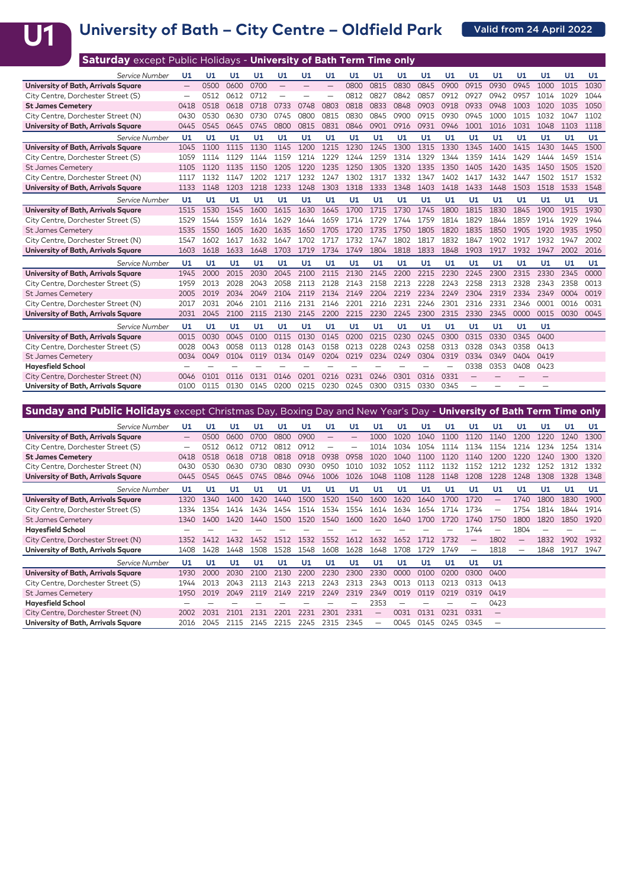# U1 University of Bath – City Centre – Oldfield Park **Channel April 2022**

| <b>Saturday except Public Holidays - University of Bath Term Time only</b> |                          |      |      |      |      |      |                          |      |      |      |      |      |      |      |      |      |      |      |
|----------------------------------------------------------------------------|--------------------------|------|------|------|------|------|--------------------------|------|------|------|------|------|------|------|------|------|------|------|
| Service Number                                                             | U1                       | U1   | U1   | U1   | U1   | U1   | U1                       | U1   | U1   | U1   | U1   | U1   | U1   | U1   | U1   | U1   | U1   | U1   |
| University of Bath, Arrivals Square                                        | $\overline{\phantom{0}}$ | 0500 | 0600 | 0700 |      |      | $\overline{\phantom{0}}$ | 0800 | 0815 | 0830 | 0845 | 0900 | 0915 | 0930 | 0945 | 1000 | 1015 | 1030 |
| City Centre, Dorchester Street (S)                                         |                          | 0512 | 0612 | 0712 |      |      |                          | 0812 | 0827 | 0842 | 0857 | 0912 | 0927 | 0942 | 0957 | 1014 | 1029 | 1044 |
| <b>St James Cemetery</b>                                                   | 0418                     | 0518 | 0618 | 0718 | 0733 | 0748 | 0803                     | 0818 | 0833 | 0848 | 0903 | 0918 | 0933 | 0948 | 1003 | 1020 | 1035 | 1050 |
| City Centre, Dorchester Street (N)                                         | 0430                     | 0530 | 0630 | 0730 | 0745 | 0800 | 0815                     | 0830 | 0845 | 0900 | 0915 | 0930 | 0945 | 1000 | 1015 | 1032 | 1047 | 1102 |
| University of Bath, Arrivals Square                                        | 0445                     | 0545 | 0645 | 0745 | 0800 | 0815 | 0831                     | 0846 | 0901 | 0916 | 0931 | 0946 | 1001 | 1016 | 1031 | 1048 | 1103 | 1118 |
| Service Number                                                             | U1                       | U1   | U1   | U1   | U1   | U1   | U1                       | U1   | U1   | U1   | U1   | U1   | U1   | U1   | U1   | U1   | U1   | U1   |
| University of Bath, Arrivals Square                                        | 1045                     | 1100 | 1115 | 1130 | 1145 | 1200 | 1215                     | 1230 | 1245 | 1300 | 1315 | 1330 | 1345 | 1400 | 1415 | 1430 | 1445 | 1500 |
| City Centre, Dorchester Street (S)                                         | 1059                     | 1114 | 1129 | 1144 | 1159 | 1214 | 1229                     | 1244 | 1259 | 1314 | 1329 | 1344 | 1359 | 1414 | 1429 | 1444 | 1459 | 1514 |
| <b>St James Cemetery</b>                                                   | 1105                     | 1120 | 1135 | 1150 | 1205 | 1220 | 1235                     | 1250 | 1305 | 1320 | 1335 | 1350 | 1405 | 1420 | 1435 | 1450 | 1505 | 1520 |
| City Centre, Dorchester Street (N)                                         | 1117                     | 1132 | 1147 | 1202 | 1217 | 1232 | 1247                     | 1302 | 1317 | 1332 | 1347 | 1402 | 1417 | 1432 | 1447 | 1502 | 1517 | 1532 |
| University of Bath, Arrivals Square                                        | 1133                     | 1148 | 1203 | 1218 | 1233 | 1248 | 1303                     | 1318 | 1333 | 1348 | 1403 | 1418 | 1433 | 1448 | 1503 | 1518 | 1533 | 1548 |
| Service Number                                                             | U1                       | U1   | U1   | U1   | U1   | U1   | U1                       | U1   | U1   | U1   | U1   | U1   | U1   | U1   | U1   | U1   | U1   | U1   |
| University of Bath, Arrivals Square                                        | 1515                     | 1530 | 1545 | 1600 | 1615 | 1630 | 1645                     | 1700 | 1715 | 1730 | 1745 | 1800 | 1815 | 1830 | 1845 | 1900 | 1915 | 1930 |
| City Centre, Dorchester Street (S)                                         | 1529                     | 1544 | 1559 | 1614 | 1629 | 1644 | 1659                     | 1714 | 1729 | 1744 | 1759 | 1814 | 1829 | 1844 | 1859 | 1914 | 1929 | 1944 |
| <b>St James Cemetery</b>                                                   | 1535                     | 1550 | 1605 | 1620 | 1635 | 1650 | 1705                     | 1720 | 1735 | 1750 | 1805 | 1820 | 1835 | 1850 | 1905 | 1920 | 1935 | 1950 |
| City Centre, Dorchester Street (N)                                         | 1547                     | 1602 | 1617 | 1632 | 1647 | 1702 | 1717                     | 1732 | 1747 | 1802 | 1817 | 1832 | 1847 | 1902 | 1917 | 1932 | 1947 | 2002 |
| University of Bath, Arrivals Square                                        | 1603                     | 1618 | 1633 | 1648 | 1703 | 1719 | 1734                     | 1749 | 1804 | 1818 | 1833 | 1848 | 1903 | 1917 | 1932 | 1947 | 2002 | 2016 |
| Service Number                                                             | U1                       | U1   | U1   | U1   | U1   | U1   | U1                       | U1   | U1   | U1   | U1   | U1   | U1   | U1   | U1   | U1   | U1   | U1   |
| University of Bath, Arrivals Square                                        | 1945                     | 2000 | 2015 | 2030 | 2045 | 2100 | 2115                     | 2130 | 2145 | 2200 | 2215 | 2230 | 2245 | 2300 | 2315 | 2330 | 2345 | 0000 |
| City Centre, Dorchester Street (S)                                         | 1959                     | 2013 | 2028 | 2043 | 2058 | 2113 | 2128                     | 2143 | 2158 | 2213 | 2228 | 2243 | 2258 | 2313 | 2328 | 2343 | 2358 | 0013 |
| <b>St James Cemetery</b>                                                   | 2005                     | 2019 | 2034 | 2049 | 2104 | 2119 | 2134                     | 2149 | 2204 | 2219 | 2234 | 2249 | 2304 | 2319 | 2334 | 2349 | 0004 | 0019 |
| City Centre, Dorchester Street (N)                                         | 2017                     | 2031 | 2046 | 2101 | 2116 | 2131 | 2146                     | 2201 | 2216 | 2231 | 2246 | 2301 | 2316 | 2331 | 2346 | 0001 | 0016 | 0031 |
| University of Bath, Arrivals Square                                        | 2031                     | 2045 | 2100 | 2115 | 2130 | 2145 | 2200                     | 2215 | 2230 | 2245 | 2300 | 2315 | 2330 | 2345 | 0000 | 0015 | 0030 | 0045 |
| Service Number                                                             | U1                       | U1   | U1   | U1   | U1   | U1   | U1                       | U1   | U1   | U1   | U1   | U1   | U1   | U1   | U1   | U1   |      |      |
| University of Bath, Arrivals Square                                        | 0015                     | 0030 | 0045 | 0100 | 0115 | 0130 | 0145                     | 0200 | 0215 | 0230 | 0245 | 0300 | 0315 | 0330 | 0345 | 0400 |      |      |
| City Centre, Dorchester Street (S)                                         | 0028                     | 0043 | 0058 | 0113 | 0128 | 0143 | 0158                     | 0213 | 0228 | 0243 | 0258 | 0313 | 0328 | 0343 | 0358 | 0413 |      |      |
| <b>St James Cemetery</b>                                                   | 0034                     | 0049 | 0104 | 0119 | 0134 | 0149 | 0204                     | 0219 | 0234 | 0249 | 0304 | 0319 | 0334 | 0349 | 0404 | 0419 |      |      |
| <b>Hayesfield School</b>                                                   |                          |      |      |      |      |      |                          |      |      |      |      |      | 0338 | 0353 | 0408 | 0423 |      |      |
| City Centre, Dorchester Street (N)                                         | 0046                     | 0101 | 0116 | 0131 | 0146 | 0201 | 0216                     | 0231 | 0246 | 0301 | 0316 | 0331 |      |      |      |      |      |      |
| University of Bath, Arrivals Square                                        | 0100                     | 0115 | 0130 | 0145 | 0200 | 0215 | 0230                     | 0245 | 0300 | 0315 | 0330 | 0345 |      |      |      |      |      |      |

| <b>Sunday and Public Holidays</b> except Christmas Day, Boxing Day and New Year's Day - University of Bath Term Time only |                   |      |      |      |      |      |                          |                          |                          |       |                  |      |                          |                          |                          |      |      |      |
|---------------------------------------------------------------------------------------------------------------------------|-------------------|------|------|------|------|------|--------------------------|--------------------------|--------------------------|-------|------------------|------|--------------------------|--------------------------|--------------------------|------|------|------|
| Service Number                                                                                                            | U1                | U1   | U1   | U1   | U1   | U1   | U1                       | U1                       | U1                       | U1    | U1               | U1   | U1                       | U1                       | U1                       | U1   | U1   | U1   |
| University of Bath, Arrivals Square                                                                                       | $\qquad \qquad -$ | 0500 | 0600 | 0700 | 0800 | 0900 | $\overline{\phantom{m}}$ | $\overline{\phantom{0}}$ | 1000                     | 1020  | 1040             | 1100 | 1120                     | 1140                     | 1200                     | 1220 | 1240 | 1300 |
| City Centre, Dorchester Street (S)                                                                                        |                   | 0512 | 0612 | 0712 | 0812 | 0912 | $\overline{\phantom{0}}$ | -                        | 1014                     | 1034  | 1054             | 1114 | 1134                     | 1154                     | 1214                     | 1234 | 1254 | 1314 |
| <b>St James Cemetery</b>                                                                                                  | 0418              | 0518 | 0618 | 0718 | 0818 | 0918 | 0938                     | 0958                     | 1020                     | 1.040 | 1100             | 1120 | 1140                     | 1200                     | 1220                     | 1240 | 1300 | 1320 |
| City Centre, Dorchester Street (N)                                                                                        | 0430              | 2530 | 0630 | 0730 | 0830 | 0930 | 0950                     | 1010                     | 1032                     | 1052  | 1112             | 1132 | 1152                     | 1212                     | 1232                     | 1252 | 1312 | 1332 |
| University of Bath, Arrivals Square                                                                                       | 0445              | 0545 | 0645 | 0745 | 0846 | 0946 | 1006                     | 1026                     | 1048                     | 1108  | 1128             | 1148 | 1208                     | 1228                     | 1248                     | 1308 | 1328 | 1348 |
| Service Number                                                                                                            | U1                | U1   | U1   | U1   | U1   | U1   | U1                       | U1                       | U1                       | U1    | U1               | U1   | U1                       | U1                       | U1                       | U1   | U1   | U1   |
| University of Bath, Arrivals Square                                                                                       | 1320              | 1340 | 1400 | 1420 | 1440 | 1500 | 1520                     | 1540                     | 1600                     | 1620  | 1640             | 1700 | 1720                     | $\overline{\phantom{0}}$ | 1740                     | 1800 | 1830 | 1900 |
| City Centre, Dorchester Street (S)                                                                                        | 1334              | 1354 | 1414 | 1434 | 1454 | 1514 | 1534                     | 1554                     | 1614                     | 1634  | 1654             | 1714 | 1734                     |                          | 1754                     | 1814 | 1844 | 1914 |
| <b>St James Cemetery</b>                                                                                                  | 1340              | 1400 | 1420 | 1440 | 1500 | 1520 | 1540                     | 1600                     | 1620                     | 1640  | 170 <sub>C</sub> | 1720 | 1740                     | 175 <sub>C</sub>         | 1800                     | 1820 | 1850 | 1920 |
| <b>Hayesfield School</b>                                                                                                  |                   |      |      |      |      |      |                          |                          |                          |       |                  |      | 1744                     |                          | 1804                     |      |      |      |
| City Centre, Dorchester Street (N)                                                                                        | 1352              | 1412 | 1432 | 1452 | 1512 | 1532 | 1552                     | 1612                     | 1632                     | 1652  | 1712             | 1732 | —                        | 1802                     | $\qquad \qquad -$        | 1832 | 1902 | 1932 |
| University of Bath, Arrivals Square                                                                                       | 1408              | 1428 | 1448 | 1508 | 1528 | 1548 | 1608                     | 1628                     | 1648                     | 1708  | 1729             | 1749 | $\overline{\phantom{0}}$ | 1818                     | $\overline{\phantom{0}}$ | 1848 | 1917 | 1947 |
| Service Number                                                                                                            | U1                | U1   | U1   | U1   | U1   | U1   | U1                       | U1                       | U1                       | U1    | U1               | U1   | U1                       | U1                       |                          |      |      |      |
| University of Bath, Arrivals Square                                                                                       | 1930              | 2000 | 2030 | 2100 | 2130 | 2200 | 2230                     | 2300                     | 2330                     | 0000  | 0100             | 0200 | 0300                     | 0400                     |                          |      |      |      |
| City Centre, Dorchester Street (S)                                                                                        | 1944              | 2013 | 2043 | 2113 | 2143 | 2213 | 2243                     | 2313                     | 2343                     | 0013  | 0113             | 0213 | 0313                     | 0413                     |                          |      |      |      |
| <b>St James Cemetery</b>                                                                                                  | 1950              | 2019 | 2049 | 2119 | 2149 | 2219 | 2249                     | 2319                     | 2349                     | 0019  | 0119             | 0219 | 0319                     | 0419                     |                          |      |      |      |
| <b>Hayesfield School</b>                                                                                                  |                   |      |      |      |      |      |                          |                          | 2353                     |       |                  |      |                          | 0423                     |                          |      |      |      |
| City Centre, Dorchester Street (N)                                                                                        | 2002              | 2031 | 2101 | 2131 | 2201 | 2231 | 2301                     | 2331                     |                          | 0031  | 0131             | 0231 | 0331                     | $\qquad \qquad -$        |                          |      |      |      |
| University of Bath, Arrivals Square                                                                                       | 2016              | 2045 | 2115 | 2145 | 2215 | 2245 | 2315                     | 2345                     | $\overline{\phantom{0}}$ | 0045  | 0145             | 0245 | 0345                     |                          |                          |      |      |      |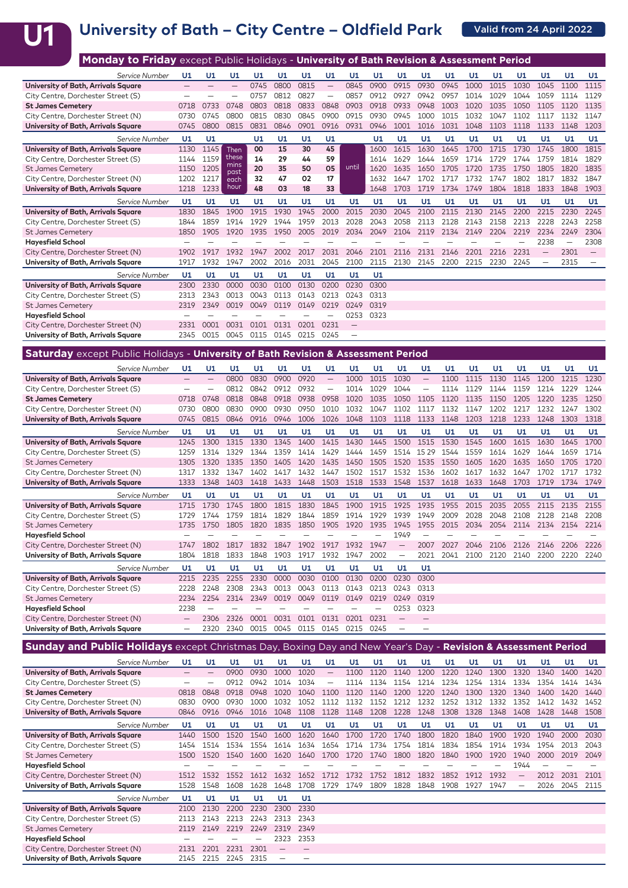## **U1**

## University of Bath - City Centre - Oldfield Park **Calid from 24 April 2022**

| <b>Monday to Friday</b> except Public Holidays - University of Bath Revision & Assessment Period |                   |      |              |      |      |      |                          |       |      |      |      |      |      |      |      |                          |      |                          |
|--------------------------------------------------------------------------------------------------|-------------------|------|--------------|------|------|------|--------------------------|-------|------|------|------|------|------|------|------|--------------------------|------|--------------------------|
| Service Number                                                                                   | U1                | U1   | U1           | U1   | U1   | U1   | U1                       | U1    | U1   | U1   | U1   | U1   | U1   | U1   | U1   | U1                       | U1   | U1                       |
| University of Bath, Arrivals Square                                                              | $\qquad \qquad -$ |      |              | 0745 | 0800 | 0815 | $\overline{\phantom{0}}$ | 0845  | 0900 | 0915 | 0930 | 0945 | 1000 | 1015 | 1030 | 1045                     | 1100 | 1115                     |
| City Centre, Dorchester Street (S)                                                               |                   |      |              | 0757 | 0812 | 0827 | $\overline{\phantom{0}}$ | 0857  | 0912 | 0927 | 0942 | 0957 | 1014 | 1029 | 1044 | 1059                     | 1114 | 1129                     |
| <b>St James Cemetery</b>                                                                         | 0718              | 0733 | 0748         | 0803 | 0818 | 0833 | 0848                     | 0903  | 0918 | 0933 | 0948 | 1003 | 1020 | 1035 | 1050 | 1105                     | 1120 | 1135                     |
| City Centre, Dorchester Street (N)                                                               | 0730              | 0745 | 0800         | 0815 | 0830 | 0845 | 0900                     | 0915  | 0930 | 0945 | 1000 | 1015 | 1032 | 1047 | 1102 | 1117                     | 1132 | 1147                     |
| University of Bath, Arrivals Square                                                              | 0745              | 0800 | 0815         | 0831 | 0846 | 0901 | 0916                     | 0931  | 0946 | 1001 | 1016 | 1031 | 1048 | 1103 | 1118 | 1133                     | 1148 | 1203                     |
| Service Number                                                                                   | U1                | U1   |              | U1   | U1   | U1   | U1                       |       | U1   | U1   | U1   | U1   | U1   | U1   | U1   | U1                       | U1   | U1                       |
| University of Bath, Arrivals Square                                                              | 1130              | 1145 | Then         | 00   | 15   | 30   | 45                       |       | 1600 | 1615 | 1630 | 1645 | 1700 | 1715 | 1730 | 1745                     | 1800 | 1815                     |
| City Centre, Dorchester Street (S)                                                               | 1144              | 1159 | these        | 14   | 29   | 44   | 59                       |       | 1614 | 1629 | 1644 | 1659 | 1714 | 1729 | 1744 | 1759                     | 1814 | 1829                     |
| <b>St James Cemetery</b>                                                                         | 1150              | 1205 | mins<br>past | 20   | 35   | 50   | 05                       | until | 1620 | 1635 | 1650 | 1705 | 1720 | 1735 | 1750 | 1805                     | 1820 | 1835                     |
| City Centre, Dorchester Street (N)                                                               | 1202              | 1217 | each         | 32   | 47   | 02   | 17                       |       | 1632 | 1647 | 1702 | 1717 | 1732 | 1747 | 1802 | 1817                     | 1832 | 1847                     |
| University of Bath, Arrivals Square                                                              | 1218              | 1233 | hour         | 48   | 03   | 18   | 33                       |       | 1648 | 1703 | 1719 | 1734 | 1749 | 1804 | 1818 | 1833                     | 1848 | 1903                     |
| Service Number                                                                                   | U1                | U1   | U1           | U1   | U1   | U1   | U1                       | U1    | U1   | U1   | U1   | U1   | U1   | U1   | U1   | U1                       | U1   | U1                       |
| University of Bath, Arrivals Square                                                              | 1830              | 1845 | 1900         | 1915 | 1930 | 1945 | 2000                     | 2015  | 2030 | 2045 | 2100 | 2115 | 2130 | 2145 | 2200 | 2215                     | 2230 | 2245                     |
| City Centre, Dorchester Street (S)                                                               | 1844              | 1859 | 1914         | 1929 | 1944 | 1959 | 2013                     | 2028  | 2043 | 2058 | 2113 | 2128 | 2143 | 2158 | 2213 | 2228                     | 2243 | 2258                     |
| <b>St James Cemetery</b>                                                                         | 1850              | 1905 | 1920         | 1935 | 1950 | 2005 | 2019                     | 2034  | 2049 | 2104 | 2119 | 2134 | 2149 | 2204 | 2219 | 2234                     | 2249 | 2304                     |
| <b>Hayesfield School</b>                                                                         |                   |      |              |      |      |      |                          |       |      |      |      |      |      |      |      | 2238                     |      | 2308                     |
| City Centre, Dorchester Street (N)                                                               | 1902              | 1917 | 1932         | 1947 | 2002 | 2017 | 2031                     | 2046  | 2101 | 2116 | 2131 | 2146 | 2201 | 2216 | 2231 |                          | 2301 |                          |
| University of Bath, Arrivals Square                                                              | 1917              | 1932 | 1947         | 2002 | 2016 | 2031 | 2045                     | 2100  | 2115 | 2130 | 2145 | 2200 | 2215 | 2230 | 2245 | $\overline{\phantom{0}}$ | 2315 | $\overline{\phantom{m}}$ |
| Service Number                                                                                   | U1                | U1   | U1           | U1   | U1   | U1   | U1                       | U1    | U1   |      |      |      |      |      |      |                          |      |                          |
| University of Bath, Arrivals Square                                                              | 2300              | 2330 | 0000         | 0030 | 0100 | 0130 | 0200                     | 0230  | 0300 |      |      |      |      |      |      |                          |      |                          |
| City Centre, Dorchester Street (S)                                                               | 2313              | 2343 | 0013         | 0043 | 0113 | 0143 | 0213                     | 0243  | 0313 |      |      |      |      |      |      |                          |      |                          |
| <b>St James Cemetery</b>                                                                         | 2319              | 2349 | 0019         | 0049 | 0119 | 0149 | 0219                     | 0249  | 0319 |      |      |      |      |      |      |                          |      |                          |
| <b>Hayesfield School</b>                                                                         |                   |      |              |      |      |      |                          | 0253  | 0323 |      |      |      |      |      |      |                          |      |                          |
| City Centre, Dorchester Street (N)                                                               | 2331              | 0001 | 0031         | 0101 | 0131 | 0201 | 0231                     |       |      |      |      |      |      |      |      |                          |      |                          |
| University of Bath, Arrivals Square                                                              | 2345              | 0015 | 0045         | 0115 | 0145 | 0215 | 0245                     |       |      |      |      |      |      |      |      |                          |      |                          |
|                                                                                                  |                   |      |              |      |      |      |                          |       |      |      |      |      |      |      |      |                          |      |                          |
| <b>Saturday</b> except Public Holidays - University of Bath Revision & Assessment Period         |                   |      |              |      |      |      |                          |       |      |      |      |      |      |      |      |                          |      |                          |

| Service Number                      | U1   | U1                | U1   | U1   | U1   | U1   | U1                | U1   | U1   | U1                       | U1    | U1   | U1   | U1   | U1   | U1   | U1   | U1   |
|-------------------------------------|------|-------------------|------|------|------|------|-------------------|------|------|--------------------------|-------|------|------|------|------|------|------|------|
| University of Bath, Arrivals Square |      | $\qquad \qquad -$ | 0800 | 0830 | 0900 | 0920 | $\qquad \qquad -$ | 1000 | 1015 | 1030                     |       | 1100 | 1115 | 1130 | 1145 | 1200 | 1215 | 1230 |
| City Centre, Dorchester Street (S)  |      | -                 | 0812 | 0842 | 0912 | 0932 | —                 | 1014 | 1029 | 1044                     |       | 1114 | 1129 | 1144 | 1159 | 1214 | 1229 | 1244 |
| <b>St James Cemetery</b>            | 0718 | 0748              | 0818 | 0848 | 0918 | 0938 | 0958              | 1020 | 1035 | 1050                     | 1105  | 1120 | 1135 | 1150 | 1205 | 1220 | 1235 | 1250 |
| City Centre, Dorchester Street (N)  | 0730 | 0800              | 0830 | 0900 | 0930 | 0950 | 1010              | 1032 | 1047 | 1102                     | 1117  | 1132 | 1147 | 1202 | 1217 | 1232 | 1247 | 1302 |
| University of Bath, Arrivals Square | 0745 | 0815              | 0846 | 0916 | 0946 | 1006 | 1026              | 1048 | 1103 | 1118                     | 1133  | 1148 | 1203 | 1218 | 1233 | 1248 | 1303 | 1318 |
| Service Number                      | U1   | U1                | U1   | U1   | U1   | U1   | U1                | U1   | U1   | U1                       | U1    | U1   | U1   | U1   | U1   | U1   | U1   | U1   |
| University of Bath, Arrivals Square | 1245 | 1300              | 1315 | 1330 | 1345 | 1400 | 1415              | 1430 | 1445 | 1500                     | 1515  | 1530 | 1545 | 1600 | 1615 | 1630 | 1645 | 1700 |
| City Centre, Dorchester Street (S)  | 1259 | 1314              | 1329 | 1344 | 1359 | 1414 | 1429              | 1444 | 1459 | 1514                     | 15 29 | 1544 | 1559 | 1614 | 1629 | 1644 | 1659 | 1714 |
| <b>St James Cemetery</b>            | 1305 | 1320              | 1335 | 1350 | 1405 | 1420 | 1435              | 1450 | 1505 | 1520                     | 1535  | 1550 | 1605 | 1620 | 1635 | 1650 | 1705 | 1720 |
| City Centre, Dorchester Street (N)  | 1317 | 1332              | 1347 | 1402 | 1417 | 1432 | 1447              | 1502 | 1517 | 1532                     | 1536  | 1602 | 1617 | 1632 | 1647 | 1702 | 1717 | 1732 |
| University of Bath, Arrivals Square | 1333 | 1348              | 1403 | 1418 | 1433 | 1448 | 1503              | 1518 | 1533 | 1548                     | 1537  | 1618 | 1633 | 1648 | 1703 | 1719 | 1734 | 1749 |
| Service Number                      | U1   | U1                | U1   | U1   | U1   | U1   | U1                | U1   | U1   | U1                       | U1    | U1   | U1   | U1   | U1   | U1   | U1   | U1   |
| University of Bath, Arrivals Square | 1715 | 1730              | 1745 | 1800 | 1815 | 1830 | 1845              | 1900 | 1915 | 1925                     | 1935  | 1955 | 2015 | 2035 | 2055 | 2115 | 2135 | 2155 |
| City Centre, Dorchester Street (S)  | 1729 | 1744              | 1759 | 1814 | 1829 | 1844 | 1859              | 1914 | 1929 | 1939                     | 1949  | 2009 | 2028 | 2048 | 2108 | 2128 | 2148 | 2208 |
| <b>St James Cemetery</b>            | 1735 | 1750              | 1805 | 1820 | 1835 | 1850 | 1905              | 1920 | 1935 | 1945                     | 1955  | 2015 | 2034 | 2054 | 2114 | 2134 | 2154 | 2214 |
| <b>Hayesfield School</b>            |      |                   |      |      |      |      |                   |      |      | 1949                     |       |      |      |      |      |      |      |      |
| City Centre, Dorchester Street (N)  | 1747 | 1802              | 1817 | 1832 | 1847 | 1902 | 1917              | 1932 | 1947 | $\overline{\phantom{0}}$ | 2007  | 2027 | 2046 | 2106 | 2126 | 2146 | 2206 | 2226 |
| University of Bath, Arrivals Square | 1804 | 1818              | 1833 | 1848 | 1903 | 1917 | 1932              | 1947 | 2002 | -                        | 2021  | 2041 | 2100 | 2120 | 2140 | 2200 | 2220 | 2240 |
| Service Number                      | U1   | U1                | U1   | U1   | U1   | U1   | U1                | U1   | U1   | U1                       | U1    |      |      |      |      |      |      |      |
| University of Bath, Arrivals Square | 2215 | 2235              | 2255 | 2330 | 0000 | 0030 | 0100              | 0130 | 0200 | 0230                     | 0300  |      |      |      |      |      |      |      |
| City Centre, Dorchester Street (S)  | 2228 | 2248              | 2308 | 2343 | 0013 | 0043 | 0113              | 0143 | 0213 | 0243                     | 0313  |      |      |      |      |      |      |      |
| <b>St James Cemetery</b>            | 2234 | 2254              | 2314 | 2349 | 0019 | 0049 | 0119              | 0149 | 0219 | 0249                     | 0319  |      |      |      |      |      |      |      |
| <b>Hayesfield School</b>            | 2238 |                   |      |      |      |      |                   |      |      | 0253                     | 0323  |      |      |      |      |      |      |      |
| City Centre, Dorchester Street (N)  |      | 2306              | 2326 | 0001 | 0031 | 0101 | 0131              | 0201 | 0231 |                          |       |      |      |      |      |      |      |      |
| University of Bath, Arrivals Square |      | 2320              | 2340 | 0015 | 0045 | 0115 | 0145              | 0215 | 0245 |                          |       |      |      |      |      |      |      |      |

| <b>Sunday and Public Holidays</b> except Christmas Day, Boxing Day and New Year's Day - Revision & Assessment Period |      |      |      |      |      |      |                          |      |      |      |      |      |      |      |                          |      |      |      |
|----------------------------------------------------------------------------------------------------------------------|------|------|------|------|------|------|--------------------------|------|------|------|------|------|------|------|--------------------------|------|------|------|
| Service Number                                                                                                       | U1   | U1   | U1   | U1   | U1   | U1   | U1                       | U1   | U1   | U1   | U1   | U1   | U1   | U1   | U1                       | U1   | U1   | U1   |
| University of Bath, Arrivals Square                                                                                  |      |      | 0900 | 0930 | 1000 | 1020 | $\overline{\phantom{0}}$ | 1100 | 1120 | 1140 | 1200 | 1220 | 1240 | 1300 | 1320                     | 1340 | 1400 | 1420 |
| City Centre, Dorchester Street (S)                                                                                   |      |      | 0912 | 0942 | 1014 | 1034 | $\overline{\phantom{0}}$ | 1114 | 1134 | 1154 | 1214 | 1234 | 1254 | 1314 | 1334                     | 1354 | 1414 | 1434 |
| <b>St James Cemetery</b>                                                                                             | 0818 | 0848 | 0918 | 0948 | 1020 | 1040 | 1100                     | 1120 | 1140 | 1200 | 1220 | 1240 | 1300 | 1320 | 1340                     | 1400 | 1420 | 1440 |
| City Centre, Dorchester Street (N)                                                                                   | 0830 | 090C | 0930 | 1000 | 1032 | 1052 | 1112                     | 1132 | 1152 | 1212 | 1232 | 1252 | 1312 | 1332 | 1352                     | 1412 | 1432 | 1452 |
| University of Bath, Arrivals Square                                                                                  | 0846 | 0916 | 0946 | 1016 | 1048 | 1108 | 1128                     | 1148 | 1208 | 1228 | 1248 | 1308 | 1328 | 1348 | 1408                     | 1428 | 1448 | 1508 |
| Service Number                                                                                                       | U1   | U1   | U1   | U1   | U1   | U1   | U1                       | U1   | U1   | U1   | U1   | U1   | U1   | U1   | U1                       | U1   | U1   | U1   |
| University of Bath, Arrivals Square                                                                                  | 1440 | 1500 | 1520 | 1540 | 1600 | 1620 | 1640                     | 1700 | 1720 | 1740 | 1800 | 1820 | 1840 | 1900 | 1920                     | 1940 | 2000 | 2030 |
| City Centre, Dorchester Street (S)                                                                                   | 1454 | 1514 | 1534 | 1554 | 1614 | 1634 | 1654                     | 1714 | 1734 | 1754 | 1814 | 1834 | 1854 | 1914 | 1934                     | 1954 | 2013 | 2043 |
| <b>St James Cemetery</b>                                                                                             | 1500 | 1520 | 1540 | 1600 | 1620 | 1640 | 1700                     | 1720 | 1740 | 1800 | 1820 | 1840 | 1900 | 1920 | 1940                     | 2000 | 2019 | 2049 |
| <b>Hayesfield School</b>                                                                                             |      |      |      |      |      |      |                          |      |      |      |      |      |      |      | 1944                     |      |      |      |
| City Centre, Dorchester Street (N)                                                                                   | 1512 | 1532 | 1552 | 1612 | 1632 | 1652 | 1712                     | 1732 | 1752 | 1812 | 1832 | 1852 | 1912 | 1932 |                          | 2012 | 2031 | 2101 |
| University of Bath, Arrivals Square                                                                                  | 1528 | 1548 | 1608 | 1628 | 1648 | 1708 | 1729                     | 1749 | 1809 | 1828 | 1848 | 1908 | 1927 | 1947 | $\overline{\phantom{0}}$ | 2026 | 2045 | 2115 |
| Service Number                                                                                                       | U1   | U1   | U1   | U1   | U1   | U1   |                          |      |      |      |      |      |      |      |                          |      |      |      |
| University of Bath, Arrivals Square                                                                                  | 2100 | 2130 | 2200 | 2230 | 2300 | 2330 |                          |      |      |      |      |      |      |      |                          |      |      |      |
| City Centre, Dorchester Street (S)                                                                                   | 2113 | 2143 | 2213 | 2243 | 2313 | 2343 |                          |      |      |      |      |      |      |      |                          |      |      |      |
| <b>St James Cemetery</b>                                                                                             | 2119 | 2149 | 2219 | 2249 | 2319 | 2349 |                          |      |      |      |      |      |      |      |                          |      |      |      |
| <b>Hayesfield School</b>                                                                                             |      |      |      |      | 2323 | 2353 |                          |      |      |      |      |      |      |      |                          |      |      |      |
| City Centre, Dorchester Street (N)                                                                                   | 2131 | 2201 | 2231 | 2301 |      |      |                          |      |      |      |      |      |      |      |                          |      |      |      |
| University of Bath, Arrivals Square                                                                                  | 2145 | 2215 | 2245 | 2315 |      |      |                          |      |      |      |      |      |      |      |                          |      |      |      |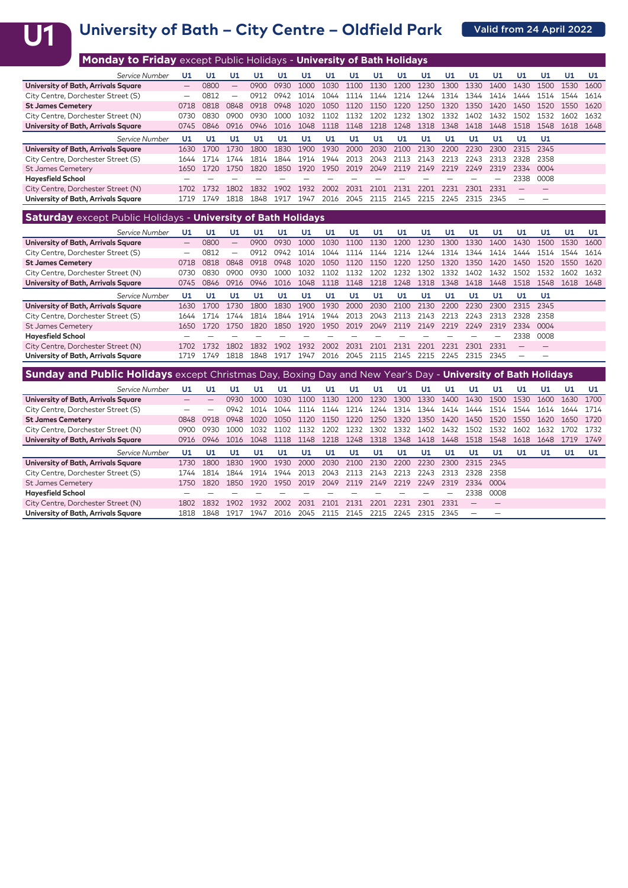# U1 University of Bath – City Centre – Oldfield Park **Channel April 2022**

| <b>Monday to Friday</b> except Public Holidays - University of Bath Holidays |                 |      |      |      |      |      |      |      |      |      |      |      |      |      |      |      |      |      |
|------------------------------------------------------------------------------|-----------------|------|------|------|------|------|------|------|------|------|------|------|------|------|------|------|------|------|
| Service Number                                                               | U1              | U1   | U1   | U1   | U1   | U1   | U1   | U1   | U1   | U1   | U1   | U1   | U1   | U1   | U1   | U1   | U1   | U1   |
| University of Bath, Arrivals Square                                          | $\qquad \qquad$ | 0800 | —    | 0900 | 0930 | 1000 | 1030 | 1100 | 1130 | 1200 | 1230 | 1300 | 1330 | 1400 | 1430 | 1500 | 1530 | 1600 |
| City Centre, Dorchester Street (S)                                           |                 | 0812 |      | 0912 | 0942 | 1014 | 1044 | 1114 | 1144 | 1214 | 1244 | 1314 | 1344 | 1414 | 1444 | 1514 | 1544 | 1614 |
| <b>St James Cemetery</b>                                                     | 0718            | 0818 | 0848 | 0918 | 0948 | 1020 | 1050 | 1120 | 1150 | 1220 | 1250 | 1320 | 1350 | 1420 | 1450 | 1520 | 1550 | 1620 |
| City Centre, Dorchester Street (N)                                           | 0730            | 0830 | 0900 | 0930 | 1000 | 1032 | 1102 | 1132 | 1202 | 1232 | 1302 | 1332 | 1402 | 1432 | 1502 | 1532 | 1602 | 1632 |
| University of Bath, Arrivals Square                                          | 0745            | 0846 | 0916 | 0946 | 1016 | 1048 | 1118 | 1148 | 1218 | 1248 | 1318 | 1348 | 1418 | 1448 | 1518 | 1548 | 1618 | 1648 |
| Service Number                                                               | U1              | U1   | UЛ   | U1.  | U1   | U1   | U1   | U1   | U1   | U1   | U1   | U1   | U1   | U1   | U1   | U1   |      |      |
| University of Bath, Arrivals Square                                          | 1630            | 1700 | 1730 | 1800 | 1830 | 1900 | 1930 | 2000 | 2030 | 2100 | 2130 | 2200 | 2230 | 2300 | 2315 | 2345 |      |      |
| City Centre, Dorchester Street (S)                                           | 1644            | 1714 | 1744 | 1814 | 1844 | 1914 | 1944 | 2013 | 2043 | 2113 | 2143 | 2213 | 2243 | 2313 | 2328 | 2358 |      |      |
| <b>St James Cemetery</b>                                                     | 1650            | 1720 | 1750 | 1820 | 1850 | 1920 | 1950 | 2019 | 2049 | 2119 | 2149 | 2219 | 2249 | 2319 | 2334 | 0004 |      |      |
| <b>Hayesfield School</b>                                                     |                 |      |      |      |      |      |      |      |      |      |      |      |      |      | 2338 | 0008 |      |      |
| City Centre, Dorchester Street (N)                                           | 1702            | 1732 | 1802 | 1832 | 1902 | 1932 | 2002 | 2031 | 2101 | 2131 | 2201 | 2231 | 2301 | 2331 |      |      |      |      |
| University of Bath, Arrivals Square                                          | 1719            | 1749 | 1818 | 1848 | 1917 | 1947 | 2016 | 2045 | 2115 | 2145 | 2215 | 2245 | 2315 | 2345 |      |      |      |      |

### **Saturday** except Public Holidays - **University of Bath Holidays**

| Service Number                      | U1   | U1   | U1   | U1          | U1   | U1   | U1   | U1   | U1.  | U1   | U1   | U1   | U1   | U1   | U1        | U1   | U1   | U1   |
|-------------------------------------|------|------|------|-------------|------|------|------|------|------|------|------|------|------|------|-----------|------|------|------|
| University of Bath, Arrivals Square |      | 0800 | —    | <b>NO00</b> | 0930 | 1000 | 1030 | 1100 | 1130 | 1200 | 1230 | 1300 | 1330 | 1400 | 1430      |      | 1530 | 1600 |
| City Centre, Dorchester Street (S)  |      | 0812 | -    | N91         | 7942 | 1014 | 1044 | 1114 | 1144 | 1214 | 1244 | 314  | 1344 | 1414 | 1444      | 1514 | 1544 | 1614 |
| <b>St James Cemetery</b>            | 0718 | 0818 | 0848 | 0918        | 0948 | 1020 | 1050 | 1120 | 1150 | 1220 | 1250 | 1320 | 1350 | 1420 | 1450      | 1520 | 1550 | 1620 |
| City Centre, Dorchester Street (N)  | 0730 | 0830 | nanr | 0930.       | 1000 | 1032 | 1102 | 132  | 1202 | 1232 | 1302 | 1332 | 1402 | 1432 | 1502      | 1532 | 1602 | 1632 |
| University of Bath, Arrivals Square | 0745 | 0846 | 0916 | 0946        | 1016 | 1048 | 1118 | 1148 | 1218 | 1248 | 1318 | 1348 | 1418 | 1448 | 1518      | 1548 | 1618 | 1648 |
| Service Number                      | U1.  | U1   | U1   | U1          | U1   | U1   | U1   | U1   | U1   | U1   | U1   | U1   | U1   | U1   | U1.       | U1   |      |      |
| University of Bath, Arrivals Square | 1630 | 1700 | 1730 | 1800        | 1830 | 1900 | 1930 | 2000 | 2030 | 2100 | 2130 | 2200 | 2230 | 2300 | 2315      | 2345 |      |      |
| City Centre, Dorchester Street (S)  | 1644 | 1714 | 744  | 1814        | 1844 | 1914 | 1944 | 2013 | 2043 | 2113 | 2143 | 2213 | 2243 | 2313 | 2328      | 2358 |      |      |
| <b>St James Cemetery</b>            | 1650 | 1720 | 1750 | 1820        | 1850 | 1920 | 1950 | 2019 | 2049 | 2119 | 2149 | 2219 | 2249 | 2319 | 2334 0004 |      |      |      |
| <b>Hayesfield School</b>            |      |      |      |             |      |      |      |      |      |      |      |      |      |      | 2338      | 0008 |      |      |
| City Centre, Dorchester Street (N)  | 1702 | 732  | 1802 | 1832        | 1902 | 1932 | 2002 | 2031 | 2101 | 2131 | 2201 | 2231 | 2301 | 2331 | –         |      |      |      |
| University of Bath, Arrivals Square | 1719 | 1749 | 1818 | 1848        | 1917 | 1947 | 2016 | 2045 | 2115 | 2145 | 2215 | 2245 | 2315 | 2345 | -         |      |      |      |
|                                     |      |      |      |             |      |      |      |      |      |      |      |      |      |      |           |      |      |      |

| Sunday and Public Holidays except Christmas Day, Boxing Day and New Year's Day - University of Bath Holidays |      |      |      |      |       |      |      |      |      |      |      |      |      |      |      |      |      |      |
|--------------------------------------------------------------------------------------------------------------|------|------|------|------|-------|------|------|------|------|------|------|------|------|------|------|------|------|------|
| Service Number                                                                                               | U1   | U1   | U1   | U1   | U1    | U1   | U1   | U1   | U1.  | U1   | U1   | U1   | U1   | U1   | U1   | U1   | U1.  | U1   |
| University of Bath, Arrivals Square                                                                          |      |      | 0930 | 1000 | 1030  | 1100 | 1130 | 200  | 1230 | 1300 | 1330 | 1400 | 1430 | 1500 | 1530 | 1600 | 1630 | 1700 |
| City Centre, Dorchester Street (S)                                                                           |      |      | 0942 | 1014 | 1044  | 1114 | 144  | 1214 | 1244 | 1314 | 1344 | 1414 | 1444 | 1514 | 1544 | 1614 | 1644 | 1714 |
| <b>St James Cemetery</b>                                                                                     | 0848 | 0918 | 0948 | 1020 | 1050. | 1120 | 1150 | 1220 | 1250 | 1320 | 1350 | 1420 | 1450 | 1520 | 1550 | 1620 | 1650 | 1720 |
| City Centre, Dorchester Street (N)                                                                           | 0900 | 0930 | 1000 | 1032 | 1102  | 1132 | 202  | 1232 | 1302 | 1332 | 1402 | 1432 | 1502 | 1532 | 1602 | 1632 | 1702 | 1732 |
| University of Bath, Arrivals Square                                                                          | 0916 | 0946 | 1016 | 1048 | 1118  | 1148 | 1218 | 1248 | 1318 | 1348 | 1418 | 1448 | 1518 | 1548 | 1618 | 1648 |      | 1749 |
|                                                                                                              |      |      |      |      |       |      |      |      |      |      |      |      |      |      |      |      |      |      |
| Service Number                                                                                               | U1   | U1   | U1   | U1   | U1    | U1   | U1   | U1   | U1   | U1   | U1   | U1   | U1   | U1   | U1   | U1   | U1   | U1   |
| University of Bath, Arrivals Square                                                                          | 1730 | 1800 | 1830 | 1900 | 1930  | 2000 | 2030 | 2100 | 2130 | 2200 | 2230 | 2300 | 2315 | 2345 |      |      |      |      |
| City Centre, Dorchester Street (S)                                                                           | 1744 | 1814 | 1844 | 1914 | 1944  | 2013 | 2043 | 2113 | 2143 | 2213 | 2243 | 2313 | 2328 | 2358 |      |      |      |      |
| <b>St James Cemetery</b>                                                                                     | 1750 | 1820 | 1850 | 1920 | 1950  | 2019 | 2049 | 2119 | 2149 | 2219 | 2249 | 2319 | 2334 | 0004 |      |      |      |      |
| <b>Hayesfield School</b>                                                                                     |      |      |      |      |       |      |      |      |      |      |      |      | 2338 | 0008 |      |      |      |      |
| City Centre, Dorchester Street (N)                                                                           | 1802 | 1832 | 1902 | 1932 | 2002  | 2031 | 2101 | 2131 | າາດ' | 2231 | 2301 | 2331 |      |      |      |      |      |      |